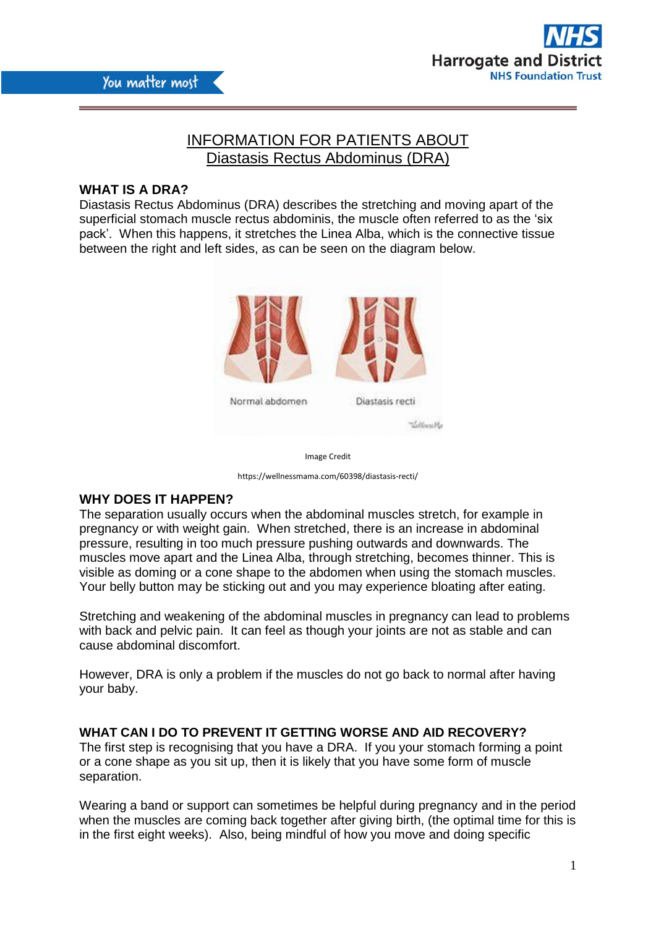

# INFORMATION FOR PATIENTS ABOUT Diastasis Rectus Abdominus (DRA)

# **WHAT IS A DRA?**

Diastasis Rectus Abdominus (DRA) describes the stretching and moving apart of the superficial stomach muscle rectus abdominis, the muscle often referred to as the 'six pack'. When this happens, it stretches the Linea Alba, which is the connective tissue between the right and left sides, as can be seen on the diagram below.



Image Credit

https://wellnessmama.com/60398/diastasis-recti/

#### **WHY DOES IT HAPPEN?**

The separation usually occurs when the abdominal muscles stretch, for example in pregnancy or with weight gain. When stretched, there is an increase in abdominal pressure, resulting in too much pressure pushing outwards and downwards. The muscles move apart and the Linea Alba, through stretching, becomes thinner. This is visible as doming or a cone shape to the abdomen when using the stomach muscles. Your belly button may be sticking out and you may experience bloating after eating.

Stretching and weakening of the abdominal muscles in pregnancy can lead to problems with back and pelvic pain. It can feel as though your joints are not as stable and can cause abdominal discomfort.

However, DRA is only a problem if the muscles do not go back to normal after having your baby.

**WHAT CAN I DO TO PREVENT IT GETTING WORSE AND AID RECOVERY?** The first step is recognising that you have a DRA. If you your stomach forming a point or a cone shape as you sit up, then it is likely that you have some form of muscle separation.

Wearing a band or support can sometimes be helpful during pregnancy and in the period when the muscles are coming back together after giving birth, (the optimal time for this is in the first eight weeks). Also, being mindful of how you move and doing specific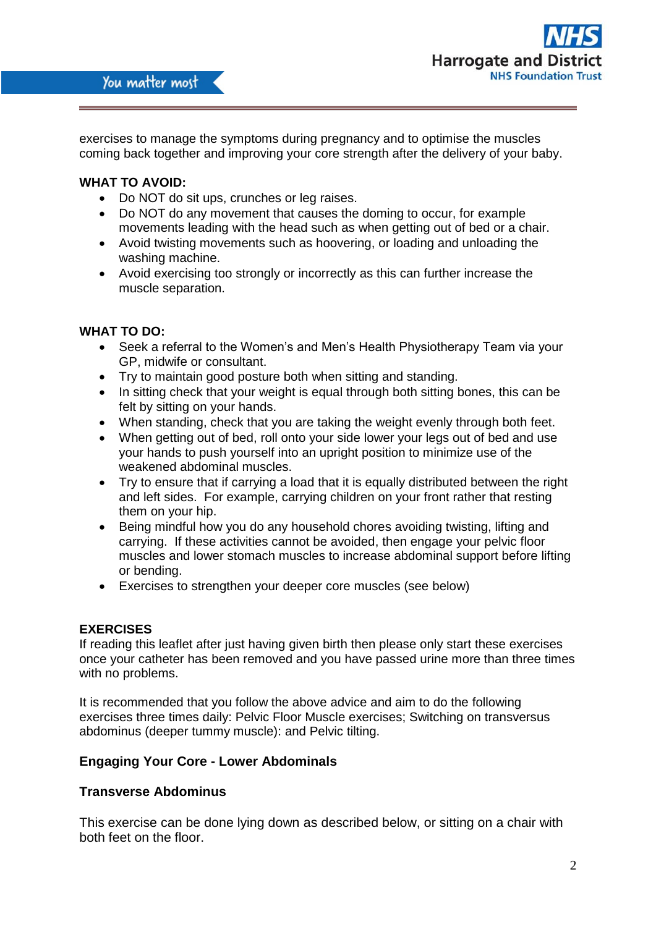

exercises to manage the symptoms during pregnancy and to optimise the muscles coming back together and improving your core strength after the delivery of your baby.

#### **WHAT TO AVOID:**

- Do NOT do sit ups, crunches or leg raises.
- Do NOT do any movement that causes the doming to occur, for example movements leading with the head such as when getting out of bed or a chair.
- Avoid twisting movements such as hoovering, or loading and unloading the washing machine.
- Avoid exercising too strongly or incorrectly as this can further increase the muscle separation.

#### **WHAT TO DO:**

- Seek a referral to the Women's and Men's Health Physiotherapy Team via your GP, midwife or consultant.
- Try to maintain good posture both when sitting and standing.
- In sitting check that your weight is equal through both sitting bones, this can be felt by sitting on your hands.
- When standing, check that you are taking the weight evenly through both feet.
- When getting out of bed, roll onto your side lower your legs out of bed and use your hands to push yourself into an upright position to minimize use of the weakened abdominal muscles.
- Try to ensure that if carrying a load that it is equally distributed between the right and left sides. For example, carrying children on your front rather that resting them on your hip.
- Being mindful how you do any household chores avoiding twisting, lifting and carrying. If these activities cannot be avoided, then engage your pelvic floor muscles and lower stomach muscles to increase abdominal support before lifting or bending.
- Exercises to strengthen your deeper core muscles (see below)

#### **EXERCISES**

If reading this leaflet after just having given birth then please only start these exercises once your catheter has been removed and you have passed urine more than three times with no problems.

It is recommended that you follow the above advice and aim to do the following exercises three times daily: Pelvic Floor Muscle exercises; Switching on transversus abdominus (deeper tummy muscle): and Pelvic tilting.

## **Engaging Your Core - Lower Abdominals**

### **Transverse Abdominus**

This exercise can be done lying down as described below, or sitting on a chair with both feet on the floor.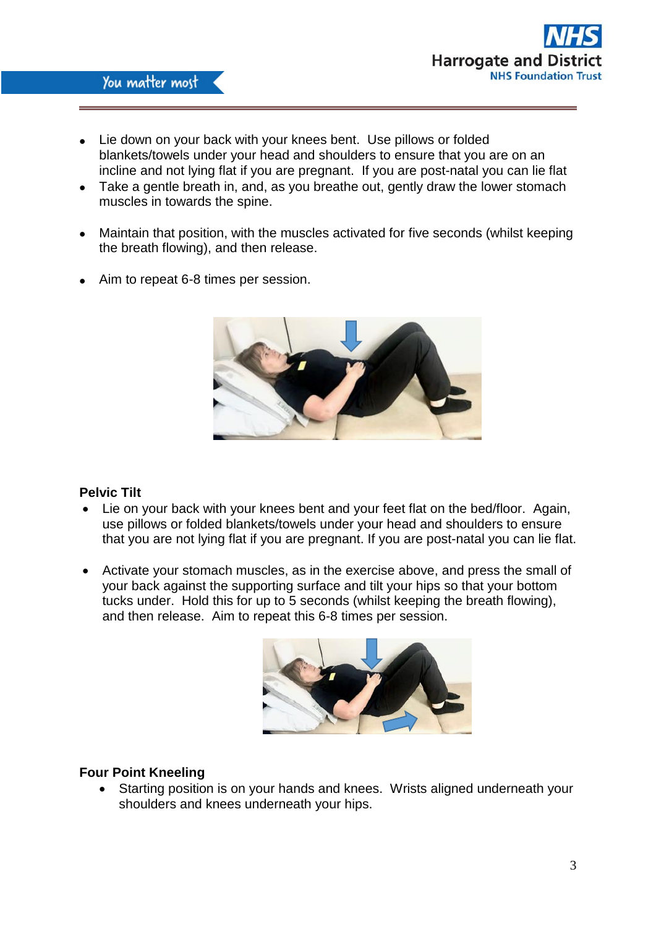

- Lie down on your back with your knees bent. Use pillows or folded blankets/towels under your head and shoulders to ensure that you are on an incline and not lying flat if you are pregnant. If you are post-natal you can lie flat
- Take a gentle breath in, and, as you breathe out, gently draw the lower stomach muscles in towards the spine.
- Maintain that position, with the muscles activated for five seconds (whilst keeping the breath flowing), and then release.
- Aim to repeat 6-8 times per session.



# **Pelvic Tilt**

- Lie on your back with your knees bent and your feet flat on the bed/floor. Again, use pillows or folded blankets/towels under your head and shoulders to ensure that you are not lying flat if you are pregnant. If you are post-natal you can lie flat.
- Activate your stomach muscles, as in the exercise above, and press the small of your back against the supporting surface and tilt your hips so that your bottom tucks under. Hold this for up to 5 seconds (whilst keeping the breath flowing), and then release. Aim to repeat this 6-8 times per session.



# **Four Point Kneeling**

 Starting position is on your hands and knees. Wrists aligned underneath your shoulders and knees underneath your hips.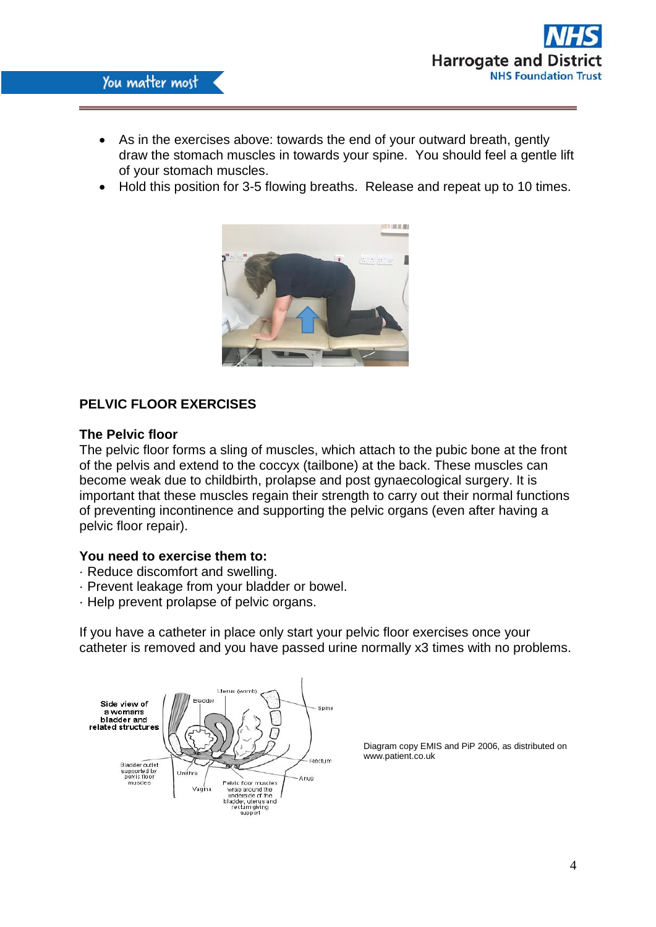

- As in the exercises above: towards the end of your outward breath, gently draw the stomach muscles in towards your spine. You should feel a gentle lift of your stomach muscles.
- Hold this position for 3-5 flowing breaths. Release and repeat up to 10 times.



# **PELVIC FLOOR EXERCISES**

#### **The Pelvic floor**

The pelvic floor forms a sling of muscles, which attach to the pubic bone at the front of the pelvis and extend to the coccyx (tailbone) at the back. These muscles can become weak due to childbirth, prolapse and post gynaecological surgery. It is important that these muscles regain their strength to carry out their normal functions of preventing incontinence and supporting the pelvic organs (even after having a pelvic floor repair).

#### **You need to exercise them to:**

- · Reduce discomfort and swelling.
- · Prevent leakage from your bladder or bowel.
- · Help prevent prolapse of pelvic organs.

If you have a catheter in place only start your pelvic floor exercises once your catheter is removed and you have passed urine normally x3 times with no problems.



Diagram copy EMIS and PiP 2006, as distributed on www.patient.co.uk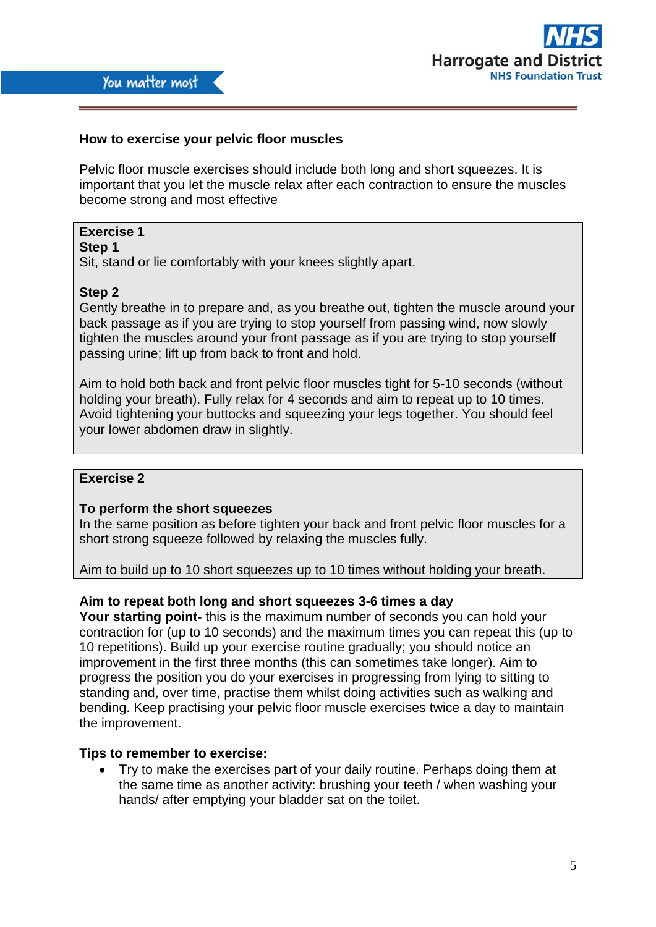

# **How to exercise your pelvic floor muscles**

Pelvic floor muscle exercises should include both long and short squeezes. It is important that you let the muscle relax after each contraction to ensure the muscles become strong and most effective

# **Exercise 1**

# **Step 1**

Sit, stand or lie comfortably with your knees slightly apart.

### **Step 2**

Gently breathe in to prepare and, as you breathe out, tighten the muscle around your back passage as if you are trying to stop yourself from passing wind, now slowly tighten the muscles around your front passage as if you are trying to stop yourself passing urine; lift up from back to front and hold.

Aim to hold both back and front pelvic floor muscles tight for 5-10 seconds (without holding your breath). Fully relax for 4 seconds and aim to repeat up to 10 times. Avoid tightening your buttocks and squeezing your legs together. You should feel your lower abdomen draw in slightly.

# **Exercise 2**

### **To perform the short squeezes**

In the same position as before tighten your back and front pelvic floor muscles for a short strong squeeze followed by relaxing the muscles fully.

Aim to build up to 10 short squeezes up to 10 times without holding your breath.

### **Aim to repeat both long and short squeezes 3-6 times a day**

**Your starting point-** this is the maximum number of seconds you can hold your contraction for (up to 10 seconds) and the maximum times you can repeat this (up to 10 repetitions). Build up your exercise routine gradually; you should notice an improvement in the first three months (this can sometimes take longer). Aim to progress the position you do your exercises in progressing from lying to sitting to standing and, over time, practise them whilst doing activities such as walking and bending. Keep practising your pelvic floor muscle exercises twice a day to maintain the improvement.

### **Tips to remember to exercise:**

 Try to make the exercises part of your daily routine. Perhaps doing them at the same time as another activity: brushing your teeth / when washing your hands/ after emptying your bladder sat on the toilet.